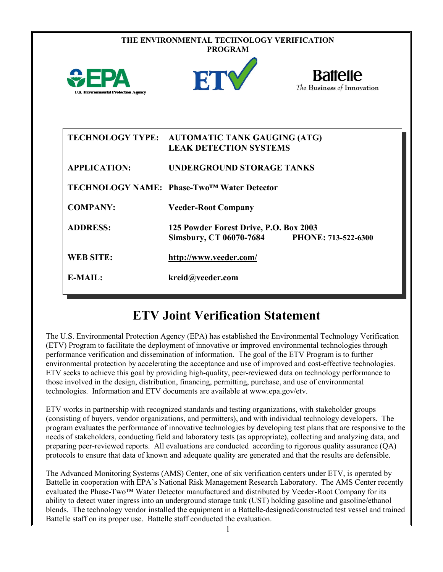| THE ENVIRONMENTAL TECHNOLOGY VERIFICATION<br><b>PROGRAM</b> |                                                                                |                                               |  |  |
|-------------------------------------------------------------|--------------------------------------------------------------------------------|-----------------------------------------------|--|--|
| <b>U.S. Environmental Protection Agency</b>                 | ETY                                                                            | <b>Battelle</b><br>The Business of Innovation |  |  |
|                                                             | TECHNOLOGY TYPE: AUTOMATIC TANK GAUGING (ATG)<br><b>LEAK DETECTION SYSTEMS</b> |                                               |  |  |
| <b>APPLICATION:</b>                                         | <b>UNDERGROUND STORAGE TANKS</b>                                               |                                               |  |  |
|                                                             | TECHNOLOGY NAME: Phase-Two <sup>™</sup> Water Detector                         |                                               |  |  |
| <b>COMPANY:</b>                                             | <b>Veeder-Root Company</b>                                                     |                                               |  |  |
| <b>ADDRESS:</b>                                             | 125 Powder Forest Drive, P.O. Box 2003<br><b>Simsbury, CT 06070-7684</b>       | PHONE: 713-522-6300                           |  |  |
| <b>WEB SITE:</b>                                            | http://www.veeder.com/                                                         |                                               |  |  |
| $E-MAIL:$                                                   | kreid@veeder.com                                                               |                                               |  |  |

## **ETV Joint Verification Statement**

The U.S. Environmental Protection Agency (EPA) has established the Environmental Technology Verification (ETV) Program to facilitate the deployment of innovative or improved environmental technologies through performance verification and dissemination of information. The goal of the ETV Program is to further environmental protection by accelerating the acceptance and use of improved and cost-effective technologies. ETV seeks to achieve this goal by providing high-quality, peer-reviewed data on technology performance to those involved in the design, distribution, financing, permitting, purchase, and use of environmental technologies. Information and ETV documents are available at www.epa.gov/etv.

ETV works in partnership with recognized standards and testing organizations, with stakeholder groups (consisting of buyers, vendor organizations, and permitters), and with individual technology developers. The program evaluates the performance of innovative technologies by developing test plans that are responsive to the needs of stakeholders, conducting field and laboratory tests (as appropriate), collecting and analyzing data, and preparing peer-reviewed reports. All evaluations are conducted according to rigorous quality assurance (QA) protocols to ensure that data of known and adequate quality are generated and that the results are defensible.

The Advanced Monitoring Systems (AMS) Center, one of six verification centers under ETV, is operated by Battelle in cooperation with EPA's National Risk Management Research Laboratory. The AMS Center recently evaluated the Phase-Two™ Water Detector manufactured and distributed by Veeder-Root Company for its ability to detect water ingress into an underground storage tank (UST) holding gasoline and gasoline/ethanol blends. The technology vendor installed the equipment in a Battelle-designed/constructed test vessel and trained Battelle staff on its proper use. Battelle staff conducted the evaluation.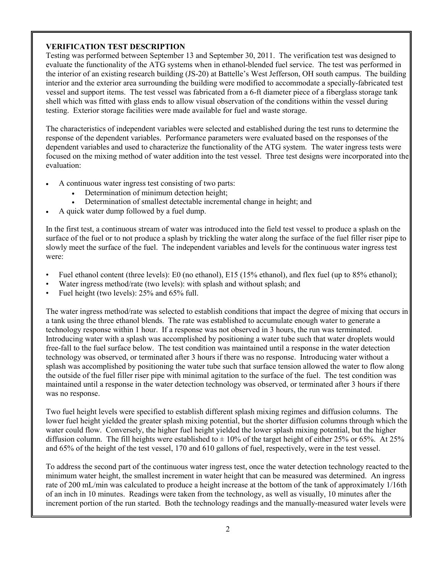## **VERIFICATION TEST DESCRIPTION**

Testing was performed between September 13 and September 30, 2011. The verification test was designed to evaluate the functionality of the ATG systems when in ethanol-blended fuel service. The test was performed in the interior of an existing research building (JS-20) at Battelle's West Jefferson, OH south campus. The building interior and the exterior area surrounding the building were modified to accommodate a specially-fabricated test vessel and support items. The test vessel was fabricated from a 6-ft diameter piece of a fiberglass storage tank shell which was fitted with glass ends to allow visual observation of the conditions within the vessel during testing. Exterior storage facilities were made available for fuel and waste storage.

The characteristics of independent variables were selected and established during the test runs to determine the response of the dependent variables. Performance parameters were evaluated based on the responses of the dependent variables and used to characterize the functionality of the ATG system. The water ingress tests were focused on the mixing method of water addition into the test vessel. Three test designs were incorporated into the evaluation:

- A continuous water ingress test consisting of two parts:
	- Determination of minimum detection height;
	- Determination of smallest detectable incremental change in height; and
- A quick water dump followed by a fuel dump.

In the first test, a continuous stream of water was introduced into the field test vessel to produce a splash on the surface of the fuel or to not produce a splash by trickling the water along the surface of the fuel filler riser pipe to slowly meet the surface of the fuel. The independent variables and levels for the continuous water ingress test were:

- Fuel ethanol content (three levels): E0 (no ethanol), E15 (15% ethanol), and flex fuel (up to 85% ethanol);
- Water ingress method/rate (two levels): with splash and without splash; and
- Fuel height (two levels): 25% and 65% full.

The water ingress method/rate was selected to establish conditions that impact the degree of mixing that occurs in a tank using the three ethanol blends. The rate was established to accumulate enough water to generate a technology response within 1 hour. If a response was not observed in 3 hours, the run was terminated. Introducing water with a splash was accomplished by positioning a water tube such that water droplets would free-fall to the fuel surface below. The test condition was maintained until a response in the water detection technology was observed, or terminated after 3 hours if there was no response. Introducing water without a splash was accomplished by positioning the water tube such that surface tension allowed the water to flow along the outside of the fuel filler riser pipe with minimal agitation to the surface of the fuel. The test condition was maintained until a response in the water detection technology was observed, or terminated after 3 hours if there was no response.

Two fuel height levels were specified to establish different splash mixing regimes and diffusion columns. The lower fuel height yielded the greater splash mixing potential, but the shorter diffusion columns through which the water could flow. Conversely, the higher fuel height yielded the lower splash mixing potential, but the higher diffusion column. The fill heights were established to  $\pm$  10% of the target height of either 25% or 65%. At 25% and 65% of the height of the test vessel, 170 and 610 gallons of fuel, respectively, were in the test vessel.

To address the second part of the continuous water ingress test, once the water detection technology reacted to the minimum water height, the smallest increment in water height that can be measured was determined. An ingress rate of 200 mL/min was calculated to produce a height increase at the bottom of the tank of approximately 1/16th of an inch in 10 minutes. Readings were taken from the technology, as well as visually, 10 minutes after the increment portion of the run started. Both the technology readings and the manually-measured water levels were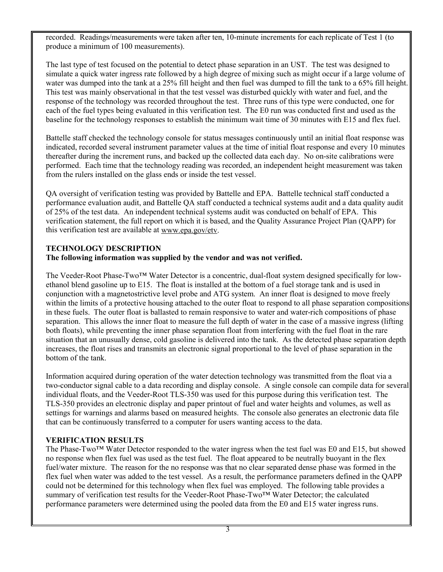recorded. Readings/measurements were taken after ten, 10-minute increments for each replicate of Test 1 (to produce a minimum of 100 measurements).

The last type of test focused on the potential to detect phase separation in an UST. The test was designed to simulate a quick water ingress rate followed by a high degree of mixing such as might occur if a large volume of water was dumped into the tank at a 25% fill height and then fuel was dumped to fill the tank to a 65% fill height. This test was mainly observational in that the test vessel was disturbed quickly with water and fuel, and the response of the technology was recorded throughout the test. Three runs of this type were conducted, one for each of the fuel types being evaluated in this verification test. The E0 run was conducted first and used as the baseline for the technology responses to establish the minimum wait time of 30 minutes with E15 and flex fuel.

Battelle staff checked the technology console for status messages continuously until an initial float response was indicated, recorded several instrument parameter values at the time of initial float response and every 10 minutes thereafter during the increment runs, and backed up the collected data each day. No on-site calibrations were performed. Each time that the technology reading was recorded, an independent height measurement was taken from the rulers installed on the glass ends or inside the test vessel.

QA oversight of verification testing was provided by Battelle and EPA. Battelle technical staff conducted a performance evaluation audit, and Battelle QA staff conducted a technical systems audit and a data quality audit of 25% of the test data. An independent technical systems audit was conducted on behalf of EPA. This verification statement, the full report on which it is based, and the Quality Assurance Project Plan (QAPP) for this verification test are available at [www.epa.gov/etv.](http://www.epa.gov/etv)

## **TECHNOLOGY DESCRIPTION The following information was supplied by the vendor and was not verified.**

The Veeder-Root Phase-Two™ Water Detector is a concentric, dual-float system designed specifically for lowethanol blend gasoline up to E15. The float is installed at the bottom of a fuel storage tank and is used in conjunction with a magnetostrictive level probe and ATG system. An inner float is designed to move freely within the limits of a protective housing attached to the outer float to respond to all phase separation compositions in these fuels. The outer float is ballasted to remain responsive to water and water-rich compositions of phase separation. This allows the inner float to measure the full depth of water in the case of a massive ingress (lifting both floats), while preventing the inner phase separation float from interfering with the fuel float in the rare situation that an unusually dense, cold gasoline is delivered into the tank. As the detected phase separation depth increases, the float rises and transmits an electronic signal proportional to the level of phase separation in the bottom of the tank.

Information acquired during operation of the water detection technology was transmitted from the float via a two-conductor signal cable to a data recording and display console. A single console can compile data for several individual floats, and the Veeder-Root TLS-350 was used for this purpose during this verification test. The TLS-350 provides an electronic display and paper printout of fuel and water heights and volumes, as well as settings for warnings and alarms based on measured heights. The console also generates an electronic data file that can be continuously transferred to a computer for users wanting access to the data.

## **VERIFICATION RESULTS**

The Phase-Two™ Water Detector responded to the water ingress when the test fuel was E0 and E15, but showed no response when flex fuel was used as the test fuel. The float appeared to be neutrally buoyant in the flex fuel/water mixture. The reason for the no response was that no clear separated dense phase was formed in the flex fuel when water was added to the test vessel. As a result, the performance parameters defined in the QAPP could not be determined for this technology when flex fuel was employed. The following table provides a summary of verification test results for the Veeder-Root Phase-Two™ Water Detector; the calculated performance parameters were determined using the pooled data from the E0 and E15 water ingress runs.